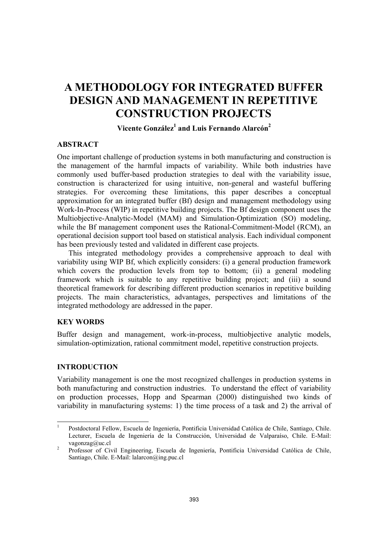# **A METHODOLOGY FOR INTEGRATED BUFFER DESIGN AND MANAGEMENT IN REPETITIVE CONSTRUCTION PROJECTS**

**Vicente González1 and Luis Fernando Alarcón<sup>2</sup>**

## **ABSTRACT**

One important challenge of production systems in both manufacturing and construction is the management of the harmful impacts of variability. While both industries have commonly used buffer-based production strategies to deal with the variability issue, construction is characterized for using intuitive, non-general and wasteful buffering strategies. For overcoming these limitations, this paper describes a conceptual approximation for an integrated buffer (Bf) design and management methodology using Work-In-Process (WIP) in repetitive building projects. The Bf design component uses the Multiobjective-Analytic-Model (MAM) and Simulation-Optimization (SO) modeling, while the Bf management component uses the Rational-Commitment-Model (RCM), an operational decision support tool based on statistical analysis. Each individual component has been previously tested and validated in different case projects.

This integrated methodology provides a comprehensive approach to deal with variability using WIP Bf, which explicitly considers: (i) a general production framework which covers the production levels from top to bottom; (ii) a general modeling framework which is suitable to any repetitive building project; and (iii) a sound theoretical framework for describing different production scenarios in repetitive building projects. The main characteristics, advantages, perspectives and limitations of the integrated methodology are addressed in the paper.

# **KEY WORDS**

Buffer design and management, work-in-process, multiobjective analytic models, simulation-optimization, rational commitment model, repetitive construction projects.

# **INTRODUCTION**

Variability management is one the most recognized challenges in production systems in both manufacturing and construction industries. To understand the effect of variability on production processes, Hopp and Spearman (2000) distinguished two kinds of variability in manufacturing systems: 1) the time process of a task and 2) the arrival of

 $\frac{1}{1}$  Postdoctoral Fellow, Escuela de Ingeniería, Pontificia Universidad Católica de Chile, Santiago, Chile. Lecturer, Escuela de Ingeniería de la Construcción, Universidad de Valparaíso, Chile. E-Mail: vagonzag@uc.cl 2 Professor of Civil Engineering, Escuela de Ingeniería, Pontificia Universidad Católica de Chile,

Santiago, Chile. E-Mail: lalarcon@ing.puc.cl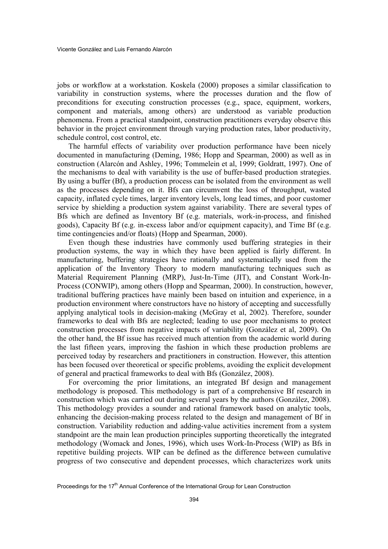jobs or workflow at a workstation. Koskela (2000) proposes a similar classification to variability in construction systems, where the processes duration and the flow of preconditions for executing construction processes (e.g., space, equipment, workers, component and materials, among others) are understood as variable production phenomena. From a practical standpoint, construction practitioners everyday observe this behavior in the project environment through varying production rates, labor productivity, schedule control, cost control, etc.

The harmful effects of variability over production performance have been nicely documented in manufacturing (Deming, 1986; Hopp and Spearman, 2000) as well as in construction (Alarcón and Ashley, 1996; Tommelein et al, 1999; Goldratt, 1997). One of the mechanisms to deal with variability is the use of buffer-based production strategies. By using a buffer (Bf), a production process can be isolated from the environment as well as the processes depending on it. Bfs can circumvent the loss of throughput, wasted capacity, inflated cycle times, larger inventory levels, long lead times, and poor customer service by shielding a production system against variability. There are several types of Bfs which are defined as Inventory Bf (e.g. materials, work-in-process, and finished goods), Capacity Bf (e.g. in-excess labor and/or equipment capacity), and Time Bf (e.g. time contingencies and/or floats) (Hopp and Spearman, 2000).

Even though these industries have commonly used buffering strategies in their production systems, the way in which they have been applied is fairly different. In manufacturing, buffering strategies have rationally and systematically used from the application of the Inventory Theory to modern manufacturing techniques such as Material Requirement Planning (MRP), Just-In-Time (JIT), and Constant Work-In-Process (CONWIP), among others (Hopp and Spearman, 2000). In construction, however, traditional buffering practices have mainly been based on intuition and experience, in a production environment where constructors have no history of accepting and successfully applying analytical tools in decision-making (McGray et al, 2002). Therefore, sounder frameworks to deal with Bfs are neglected; leading to use poor mechanisms to protect construction processes from negative impacts of variability (González et al, 2009). On the other hand, the Bf issue has received much attention from the academic world during the last fifteen years, improving the fashion in which these production problems are perceived today by researchers and practitioners in construction. However, this attention has been focused over theoretical or specific problems, avoiding the explicit development of general and practical frameworks to deal with Bfs (González, 2008).

For overcoming the prior limitations, an integrated Bf design and management methodology is proposed. This methodology is part of a comprehensive Bf research in construction which was carried out during several years by the authors (González, 2008). This methodology provides a sounder and rational framework based on analytic tools, enhancing the decision-making process related to the design and management of Bf in construction. Variability reduction and adding-value activities increment from a system standpoint are the main lean production principles supporting theoretically the integrated methodology (Womack and Jones, 1996), which uses Work-In-Process (WIP) as Bfs in repetitive building projects. WIP can be defined as the difference between cumulative progress of two consecutive and dependent processes, which characterizes work units

Proceedings for the 17<sup>th</sup> Annual Conference of the International Group for Lean Construction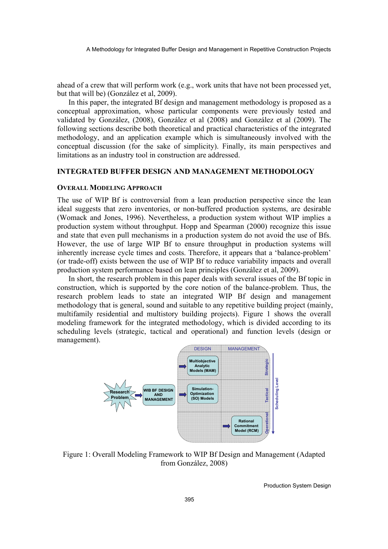ahead of a crew that will perform work (e.g., work units that have not been processed yet, but that will be) (González et al, 2009).

In this paper, the integrated Bf design and management methodology is proposed as a conceptual approximation, whose particular components were previously tested and validated by González, (2008), González et al (2008) and González et al (2009). The following sections describe both theoretical and practical characteristics of the integrated methodology, and an application example which is simultaneously involved with the conceptual discussion (for the sake of simplicity). Finally, its main perspectives and limitations as an industry tool in construction are addressed.

## **INTEGRATED BUFFER DESIGN AND MANAGEMENT METHODOLOGY**

#### **OVERALL MODELING APPROACH**

The use of WIP Bf is controversial from a lean production perspective since the lean ideal suggests that zero inventories, or non-buffered production systems, are desirable (Womack and Jones, 1996). Nevertheless, a production system without WIP implies a production system without throughput. Hopp and Spearman (2000) recognize this issue and state that even pull mechanisms in a production system do not avoid the use of Bfs. However, the use of large WIP Bf to ensure throughput in production systems will inherently increase cycle times and costs. Therefore, it appears that a 'balance-problem' (or trade-off) exists between the use of WIP Bf to reduce variability impacts and overall production system performance based on lean principles (González et al, 2009).

In short, the research problem in this paper deals with several issues of the Bf topic in construction, which is supported by the core notion of the balance-problem. Thus, the research problem leads to state an integrated WIP Bf design and management methodology that is general, sound and suitable to any repetitive building project (mainly, multifamily residential and multistory building projects). Figure 1 shows the overall modeling framework for the integrated methodology, which is divided according to its scheduling levels (strategic, tactical and operational) and function levels (design or management).



Figure 1: Overall Modeling Framework to WIP Bf Design and Management (Adapted from González, 2008)

Production System Design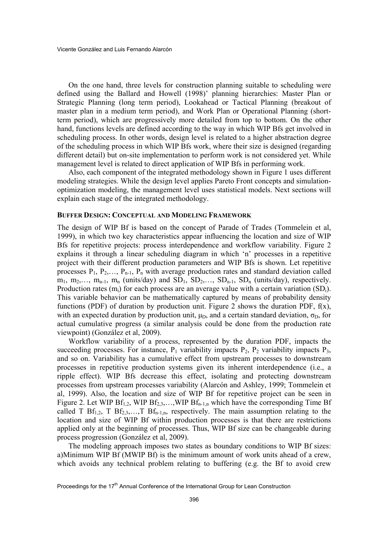On the one hand, three levels for construction planning suitable to scheduling were defined using the Ballard and Howell (1998)' planning hierarchies: Master Plan or Strategic Planning (long term period), Lookahead or Tactical Planning (breakout of master plan in a medium term period), and Work Plan or Operational Planning (shortterm period), which are progressively more detailed from top to bottom. On the other hand, functions levels are defined according to the way in which WIP Bfs get involved in scheduling process. In other words, design level is related to a higher abstraction degree of the scheduling process in which WIP Bfs work, where their size is designed (regarding different detail) but on-site implementation to perform work is not considered yet. While management level is related to direct application of WIP Bfs in performing work.

Also, each component of the integrated methodology shown in Figure 1 uses different modeling strategies. While the design level applies Pareto Front concepts and simulationoptimization modeling, the management level uses statistical models. Next sections will explain each stage of the integrated methodology.

#### **BUFFER DESIGN: CONCEPTUAL AND MODELING FRAMEWORK**

The design of WIP Bf is based on the concept of Parade of Trades (Tommelein et al, 1999), in which two key characteristics appear influencing the location and size of WIP Bfs for repetitive projects: process interdependence and workflow variability. Figure 2 explains it through a linear scheduling diagram in which 'n' processes in a repetitive project with their different production parameters and WIP Bfs is shown. Let repetitive processes  $P_1$ ,  $P_2$ ,...,  $P_{n-1}$ ,  $P_n$  with average production rates and standard deviation called  $m_1$ ,  $m_2,..., m_{n-1}$ ,  $m_n$  (units/day) and  $SD_1$ ,  $SD_2,..., SD_{n-1}$ ,  $SD_n$  (units/day), respectively. Production rates  $(m_i)$  for each process are an average value with a certain variation  $(SD_i)$ . This variable behavior can be mathematically captured by means of probability density functions (PDF) of duration by production unit. Figure 2 shows the duration PDF,  $f(x)$ , with an expected duration by production unit,  $\mu_D$ , and a certain standard deviation,  $\sigma_D$ , for actual cumulative progress (a similar analysis could be done from the production rate viewpoint) (González et al, 2009).

Workflow variability of a process, represented by the duration PDF, impacts the succeeding processes. For instance,  $P_1$  variability impacts  $P_2$ ,  $P_2$  variability impacts  $P_3$ , and so on. Variability has a cumulative effect from upstream processes to downstream processes in repetitive production systems given its inherent interdependence (i.e., a ripple effect). WIP Bfs decrease this effect, isolating and protecting downstream processes from upstream processes variability (Alarcón and Ashley, 1999; Tommelein et al, 1999). Also, the location and size of WIP Bf for repetitive project can be seen in Figure 2. Let WIP  $\text{Bf}_{1,2}$ , WIP  $\text{Bf}_{2,3}$ ,...,WIP  $\text{Bf}_{n-1,n}$  which have the corresponding Time Bf called T  $Bf_{1,2}$ , T  $Bf_{2,3}$ ,..., T  $Bf_{n-1,n}$ , respectively. The main assumption relating to the location and size of WIP Bf within production processes is that there are restrictions applied only at the beginning of processes. Thus, WIP Bf size can be changeable during process progression (González et al, 2009).

The modeling approach imposes two states as boundary conditions to WIP Bf sizes: a)Minimum WIP Bf (MWIP Bf) is the minimum amount of work units ahead of a crew, which avoids any technical problem relating to buffering (e.g. the Bf to avoid crew

Proceedings for the 17<sup>th</sup> Annual Conference of the International Group for Lean Construction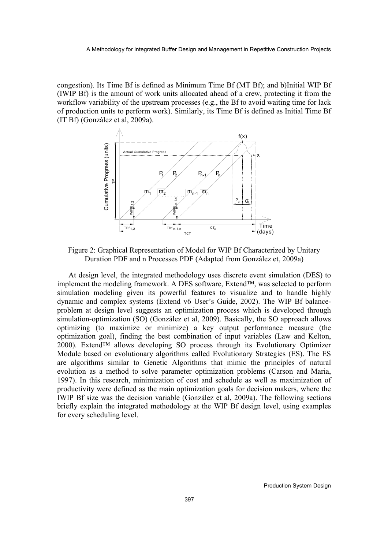congestion). Its Time Bf is defined as Minimum Time Bf (MT Bf); and b)Initial WIP Bf (IWIP Bf) is the amount of work units allocated ahead of a crew, protecting it from the workflow variability of the upstream processes (e.g., the Bf to avoid waiting time for lack of production units to perform work). Similarly, its Time Bf is defined as Initial Time Bf (IT Bf) (González et al, 2009a).



Figure 2: Graphical Representation of Model for WIP Bf Characterized by Unitary Duration PDF and n Processes PDF (Adapted from González et, 2009a)

At design level, the integrated methodology uses discrete event simulation (DES) to implement the modeling framework. A DES software, Extend™, was selected to perform simulation modeling given its powerful features to visualize and to handle highly dynamic and complex systems (Extend v6 User's Guide, 2002). The WIP Bf balanceproblem at design level suggests an optimization process which is developed through simulation-optimization (SO) (González et al, 2009). Basically, the SO approach allows optimizing (to maximize or minimize) a key output performance measure (the optimization goal), finding the best combination of input variables (Law and Kelton, 2000). Extend™ allows developing SO process through its Evolutionary Optimizer Module based on evolutionary algorithms called Evolutionary Strategies (ES). The ES are algorithms similar to Genetic Algorithms that mimic the principles of natural evolution as a method to solve parameter optimization problems (Carson and Maria, 1997). In this research, minimization of cost and schedule as well as maximization of productivity were defined as the main optimization goals for decision makers, where the IWIP Bf size was the decision variable (González et al, 2009a). The following sections briefly explain the integrated methodology at the WIP Bf design level, using examples for every scheduling level.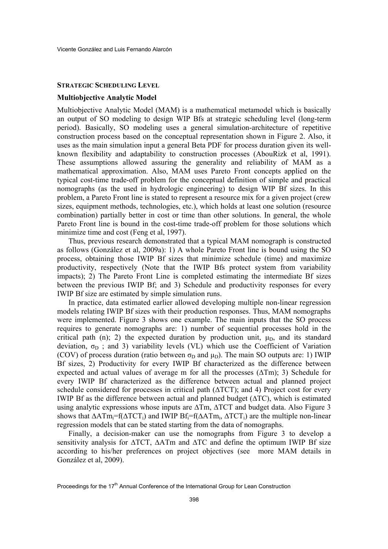#### **STRATEGIC SCHEDULING LEVEL**

## **Multiobjective Analytic Model**

Multiobjective Analytic Model (MAM) is a mathematical metamodel which is basically an output of SO modeling to design WIP Bfs at strategic scheduling level (long-term period). Basically, SO modeling uses a general simulation-architecture of repetitive construction process based on the conceptual representation shown in Figure 2. Also, it uses as the main simulation input a general Beta PDF for process duration given its wellknown flexibility and adaptability to construction processes (AbouRizk et al, 1991). These assumptions allowed assuring the generality and reliability of MAM as a mathematical approximation. Also, MAM uses Pareto Front concepts applied on the typical cost-time trade-off problem for the conceptual definition of simple and practical nomographs (as the used in hydrologic engineering) to design WIP Bf sizes. In this problem, a Pareto Front line is stated to represent a resource mix for a given project (crew sizes, equipment methods, technologies, etc.), which holds at least one solution (resource combination) partially better in cost or time than other solutions. In general, the whole Pareto Front line is bound in the cost-time trade-off problem for those solutions which minimize time and cost (Feng et al, 1997).

Thus, previous research demonstrated that a typical MAM nomograph is constructed as follows (González et al, 2009a): 1) A whole Pareto Front line is bound using the SO process, obtaining those IWIP Bf sizes that minimize schedule (time) and maximize productivity, respectively (Note that the IWIP Bfs protect system from variability impacts); 2) The Pareto Front Line is completed estimating the intermediate Bf sizes between the previous IWIP Bf; and 3) Schedule and productivity responses for every IWIP Bf size are estimated by simple simulation runs.

In practice, data estimated earlier allowed developing multiple non-linear regression models relating IWIP Bf sizes with their production responses. Thus, MAM nomographs were implemented. Figure 3 shows one example. The main inputs that the SO process requires to generate nomographs are: 1) number of sequential processes hold in the critical path (n); 2) the expected duration by production unit,  $\mu_D$ , and its standard deviation,  $\sigma_{\text{D}}$ ; and 3) variability levels (VL) which use the Coefficient of Variation (COV) of process duration (ratio between  $\sigma_{\text{D}}$  and  $\mu_{\text{D}}$ ). The main SO outputs are: 1) IWIP Bf sizes, 2) Productivity for every IWIP Bf characterized as the difference between expected and actual values of average m for all the processes (∆Tm); 3) Schedule for every IWIP Bf characterized as the difference between actual and planned project schedule considered for processes in critical path (∆TCT); and 4) Project cost for every IWIP Bf as the difference between actual and planned budget (∆TC), which is estimated using analytic expressions whose inputs are ∆Tm, ∆TCT and budget data. Also Figure 3 shows that  $\Delta \Delta Tm_i = f(\Delta TCT_i)$  and IWIP Bf<sub>i</sub>=f( $\Delta \Delta Tm_i$ ,  $\Delta TCT_i$ ) are the multiple non-linear regression models that can be stated starting from the data of nomographs.

Finally, a decision-maker can use the nomographs from Figure 3 to develop a sensitivity analysis for ∆TCT, ∆ATm and ∆TC and define the optimum IWIP Bf size according to his/her preferences on project objectives (see more MAM details in González et al, 2009).

Proceedings for the 17<sup>th</sup> Annual Conference of the International Group for Lean Construction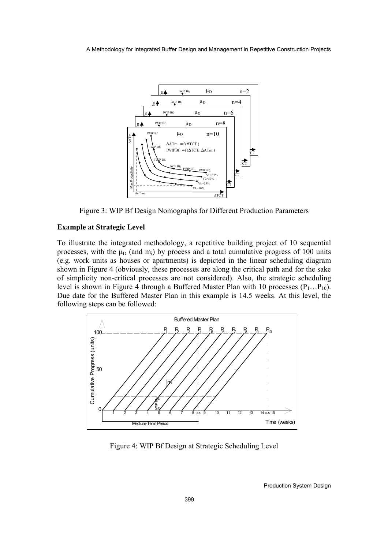A Methodology for Integrated Buffer Design and Management in Repetitive Construction Projects



Figure 3: WIP Bf Design Nomographs for Different Production Parameters

# **Example at Strategic Level**

To illustrate the integrated methodology, a repetitive building project of 10 sequential processes, with the  $\mu_D$  (and m<sub>i</sub>) by process and a total cumulative progress of 100 units (e.g. work units as houses or apartments) is depicted in the linear scheduling diagram shown in Figure 4 (obviously, these processes are along the critical path and for the sake of simplicity non-critical processes are not considered). Also, the strategic scheduling level is shown in Figure 4 through a Buffered Master Plan with 10 processes  $(P_1...P_{10})$ . Due date for the Buffered Master Plan in this example is 14.5 weeks. At this level, the following steps can be followed:



Figure 4: WIP Bf Design at Strategic Scheduling Level

Production System Design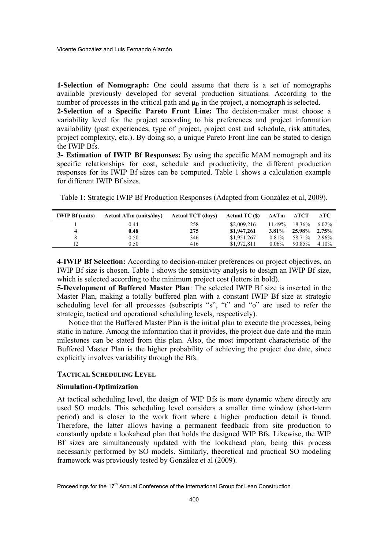**1-Selection of Nomograph:** One could assume that there is a set of nomographs available previously developed for several production situations. According to the number of processes in the critical path and  $\mu_D$  in the project, a nomograph is selected.

**2-Selection of a Specific Pareto Front Line:** The decision-maker must choose a variability level for the project according to his preferences and project information availability (past experiences, type of project, project cost and schedule, risk attitudes, project complexity, etc.). By doing so, a unique Pareto Front line can be stated to design the IWIP Bfs.

**3- Estimation of IWIP Bf Responses:** By using the specific MAM nomograph and its specific relationships for cost, schedule and productivity, the different production responses for its IWIP Bf sizes can be computed. Table 1 shows a calculation example for different IWIP Bf sizes.

Table 1: Strategic IWIP Bf Production Responses (Adapted from González et al, 2009).

| <b>IWIP Bf</b> (units) | <b>Actual ATm (units/day)</b> | <b>Actual TCT</b> (days) | Actual TC (\$) | $\Delta ATm$ | ΔTCT   | ATC      |
|------------------------|-------------------------------|--------------------------|----------------|--------------|--------|----------|
|                        | 0.44                          | 258                      | \$2,009.216    | $11.49\%$    | 18.36% | $6.02\%$ |
|                        | 0.48                          | 275                      | \$1,947,261    | $3.81\%$     | 25.98% | 2.75%    |
|                        | 0.50                          | 346                      | \$1,951,267    | $0.81\%$     | 58.71% | 2.96%    |
|                        | 0.50                          | 416                      | \$1,972,811    | $0.06\%$     | 90.85% | 4.10%    |

**4-IWIP Bf Selection:** According to decision-maker preferences on project objectives, an IWIP Bf size is chosen. Table 1 shows the sensitivity analysis to design an IWIP Bf size, which is selected according to the minimum project cost (letters in bold).

**5-Development of Buffered Master Plan**: The selected IWIP Bf size is inserted in the Master Plan, making a totally buffered plan with a constant IWIP Bf size at strategic scheduling level for all processes (subscripts "s", "t" and "o" are used to refer the strategic, tactical and operational scheduling levels, respectively).

Notice that the Buffered Master Plan is the initial plan to execute the processes, being static in nature. Among the information that it provides, the project due date and the main milestones can be stated from this plan. Also, the most important characteristic of the Buffered Master Plan is the higher probability of achieving the project due date, since explicitly involves variability through the Bfs.

## **TACTICAL SCHEDULING LEVEL**

### **Simulation-Optimization**

At tactical scheduling level, the design of WIP Bfs is more dynamic where directly are used SO models. This scheduling level considers a smaller time window (short-term period) and is closer to the work front where a higher production detail is found. Therefore, the latter allows having a permanent feedback from site production to constantly update a lookahead plan that holds the designed WIP Bfs. Likewise, the WIP Bf sizes are simultaneously updated with the lookahead plan, being this process necessarily performed by SO models. Similarly, theoretical and practical SO modeling framework was previously tested by González et al (2009).

Proceedings for the 17<sup>th</sup> Annual Conference of the International Group for Lean Construction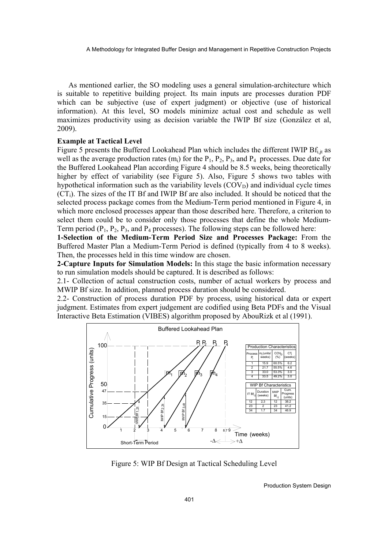As mentioned earlier, the SO modeling uses a general simulation-architecture which is suitable to repetitive building project. Its main inputs are processes duration PDF which can be subjective (use of expert judgment) or objective (use of historical information). At this level, SO models minimize actual cost and schedule as well maximizes productivity using as decision variable the IWIP Bf size (González et al, 2009).

### **Example at Tactical Level**

Figure 5 presents the Buffered Lookahead Plan which includes the different IWIP  $Bf_{i, it}$  as well as the average production rates  $(m_i)$  for the  $P_1$ ,  $P_2$ ,  $P_3$ , and  $P_4$  processes. Due date for the Buffered Lookahead Plan according Figure 4 should be 8.5 weeks, being theoretically higher by effect of variability (see Figure 5). Also, Figure 5 shows two tables with hypothetical information such as the variability levels  $(COV_D)$  and individual cycle times  $(CT_i)$ . The sizes of the IT Bf and IWIP Bf are also included. It should be noticed that the selected process package comes from the Medium-Term period mentioned in Figure 4, in which more enclosed processes appear than those described here. Therefore, a criterion to select them could be to consider only those processes that define the whole Medium-Term period  $(P_1, P_2, P_3,$  and  $P_4$  processes). The following steps can be followed here:

**1-Selection of the Medium-Term Period Size and Processes Package:** From the Buffered Master Plan a Medium-Term Period is defined (typically from 4 to 8 weeks). Then, the processes held in this time window are chosen.

**2-Capture Inputs for Simulation Models:** In this stage the basic information necessary to run simulation models should be captured. It is described as follows:

2.1- Collection of actual construction costs, number of actual workers by process and MWIP Bf size. In addition, planned process duration should be considered.

2.2- Construction of process duration PDF by process, using historical data or expert judgment. Estimates from expert judgement are codified using Beta PDFs and the Visual Interactive Beta Estimation (VIBES) algorithm proposed by AbouRizk et al (1991).



Figure 5: WIP Bf Design at Tactical Scheduling Level

Production System Design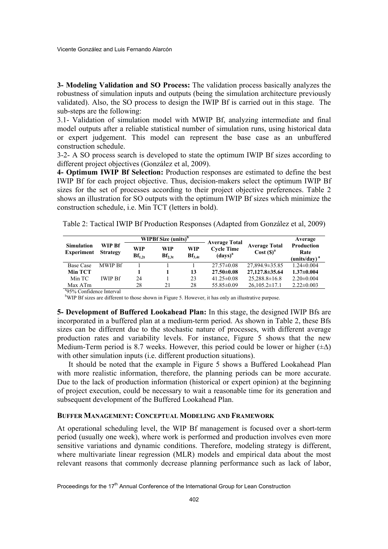**3- Modeling Validation and SO Process:** The validation process basically analyzes the robustness of simulation inputs and outputs (being the simulation architecture previously validated). Also, the SO process to design the IWIP Bf is carried out in this stage. The sub-steps are the following:

3.1- Validation of simulation model with MWIP Bf, analyzing intermediate and final model outputs after a reliable statistical number of simulation runs, using historical data or expert judgement. This model can represent the base case as an unbuffered construction schedule.

3-2- A SO process search is developed to state the optimum IWIP Bf sizes according to different project objectives (González et al, 2009).

**4- Optimum IWIP Bf Selection:** Production responses are estimated to define the best IWIP Bf for each project objective. Thus, decision-makers select the optimum IWIP Bf sizes for the set of processes according to their project objective preferences. Table 2 shows an illustration for SO outputs with the optimum IWIP Bf sizes which minimize the construction schedule, i.e. Min TCT (letters in bold).

Table 2: Tactical IWIP Bf Production Responses (Adapted from González et al, 2009)

|                                        | WIP Bf<br><b>Strategy</b> | WIPBf Size $(units)^b$ |                    | <b>Average Total</b>      |                                                   | Average                                      |                                                       |  |
|----------------------------------------|---------------------------|------------------------|--------------------|---------------------------|---------------------------------------------------|----------------------------------------------|-------------------------------------------------------|--|
| <b>Simulation</b><br><b>Experiment</b> |                           | WIP<br>$Bf_{1,2t}$     | WIP<br>$Bf_{2,3t}$ | <b>WIP</b><br>$Bf_{3.4t}$ | <b>Cycle Time</b><br>$\left(\text{days}\right)^a$ | <b>Average Total</b><br>Cost(S) <sup>a</sup> | <b>Production</b><br>Rate<br>(units/day) <sup>a</sup> |  |
| <b>Base Case</b>                       | <b>MWIP Bf</b>            |                        |                    |                           | $27.57\pm0.08$                                    | 27,894.9±35.85                               | $1.24 \pm 0.004$                                      |  |
| <b>Min TCT</b>                         |                           |                        |                    | 13                        | $27.50\pm0.08$                                    | 27,127.8 ± 35.64                             | $1.37 \pm 0.004$                                      |  |
| Min TC                                 | <b>IWIP Bf</b>            | 24                     |                    | 23                        | $41.25 \pm 0.08$                                  | $25,288.8 \pm 16.8$                          | $2.20 \pm 0.004$                                      |  |
| Max ATm                                |                           | 28                     | 21                 | 28                        | $55.85 \pm 0.09$                                  | $26,105.2 \pm 17.1$                          | $2.22 \pm 0.003$                                      |  |
| 3050/Confdenos Intermol                |                           |                        |                    |                           |                                                   |                                              |                                                       |  |

<sup>a</sup>95% Confidence Interval

<sup>b</sup>WIP Bf sizes are different to those shown in Figure 5. However, it has only an illustrative purpose.

**5- Development of Buffered Lookahead Plan:** In this stage, the designed IWIP Bfs are incorporated in a buffered plan at a medium-term period. As shown in Table 2, these Bfs sizes can be different due to the stochastic nature of processes, with different average production rates and variability levels. For instance, Figure 5 shows that the new Medium-Term period is 8.7 weeks. However, this period could be lower or higher  $(\pm \Delta)$ with other simulation inputs (i.e. different production situations).

It should be noted that the example in Figure 5 shows a Buffered Lookahead Plan with more realistic information, therefore, the planning periods can be more accurate. Due to the lack of production information (historical or expert opinion) at the beginning of project execution, could be necessary to wait a reasonable time for its generation and subsequent development of the Buffered Lookahead Plan.

#### **BUFFER MANAGEMENT: CONCEPTUAL MODELING AND FRAMEWORK**

At operational scheduling level, the WIP Bf management is focused over a short-term period (usually one week), where work is performed and production involves even more sensitive variations and dynamic conditions. Therefore, modeling strategy is different, where multivariate linear regression (MLR) models and empirical data about the most relevant reasons that commonly decrease planning performance such as lack of labor,

Proceedings for the 17<sup>th</sup> Annual Conference of the International Group for Lean Construction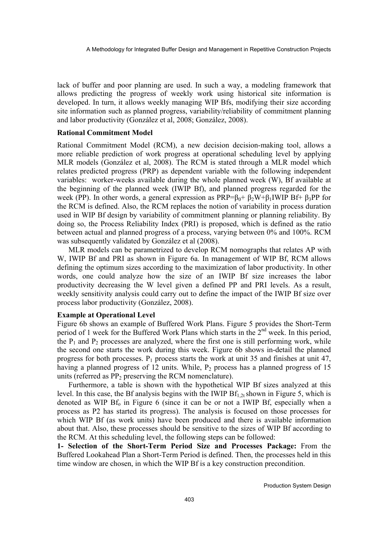lack of buffer and poor planning are used. In such a way, a modeling framework that allows predicting the progress of weekly work using historical site information is developed. In turn, it allows weekly managing WIP Bfs, modifying their size according site information such as planned progress, variability/reliability of commitment planning and labor productivity (González et al, 2008; González, 2008).

## **Rational Commitment Model**

Rational Commitment Model (RCM), a new decision decision-making tool, allows a more reliable prediction of work progress at operational scheduling level by applying MLR models (González et al, 2008). The RCM is stated through a MLR model which relates predicted progress (PRP) as dependent variable with the following independent variables: worker-weeks available during the whole planned week (W), Bf available at the beginning of the planned week (IWIP Bf), and planned progress regarded for the week (PP). In other words, a general expression as  $PRP=β<sub>0</sub>+β<sub>2</sub>W+β<sub>1</sub>IWIP Bf+β<sub>3</sub>PP$  for the RCM is defined. Also, the RCM replaces the notion of variability in process duration used in WIP Bf design by variability of commitment planning or planning reliability. By doing so, the Process Reliability Index (PRI) is proposed, which is defined as the ratio between actual and planned progress of a process, varying between 0% and 100%. RCM was subsequently validated by González et al (2008).

MLR models can be parametrized to develop RCM nomographs that relates AP with W, IWIP Bf and PRI as shown in Figure 6a. In management of WIP Bf, RCM allows defining the optimum sizes according to the maximization of labor productivity. In other words, one could analyze how the size of an IWIP Bf size increases the labor productivity decreasing the W level given a defined PP and PRI levels. As a result, weekly sensitivity analysis could carry out to define the impact of the IWIP Bf size over process labor productivity (González, 2008).

### **Example at Operational Level**

Figure 6b shows an example of Buffered Work Plans. Figure 5 provides the Short-Term period of 1 week for the Buffered Work Plans which starts in the  $2<sup>nd</sup>$  week. In this period, the  $P_1$  and  $P_2$  processes are analyzed, where the first one is still performing work, while the second one starts the work during this week. Figure 6b shows in-detail the planned progress for both processes.  $P_1$  process starts the work at unit 35 and finishes at unit 47, having a planned progress of 12 units. While,  $P_2$  process has a planned progress of 15 units (referred as  $PP_2$  preserving the RCM nomenclature).

Furthermore, a table is shown with the hypothetical WIP Bf sizes analyzed at this level. In this case, the Bf analysis begins with the IWIP  $Bf_{1,2t}$  shown in Figure 5, which is denoted as WIP  $Bf_0$  in Figure 6 (since it can be or not a IWIP  $Bf$ , especially when a process as P2 has started its progress). The analysis is focused on those processes for which WIP Bf (as work units) have been produced and there is available information about that. Also, these processes should be sensitive to the sizes of WIP Bf according to the RCM. At this scheduling level, the following steps can be followed:

**1- Selection of the Short-Term Period Size and Processes Package:** From the Buffered Lookahead Plan a Short-Term Period is defined. Then, the processes held in this time window are chosen, in which the WIP Bf is a key construction precondition.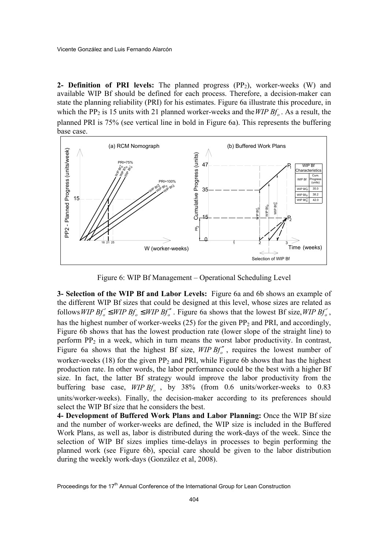**2- Definition of PRI levels:** The planned progress (PP<sub>2</sub>), worker-weeks (W) and available WIP Bf should be defined for each process. Therefore, a decision-maker can state the planning reliability (PRI) for his estimates. Figure 6a illustrate this procedure, in which the PP<sub>2</sub> is 15 units with 21 planned worker-weeks and the *WIP Bf<sub>o</sub>*. As a result, the planned PRI is 75% (see vertical line in bold in Figure 6a). This represents the buffering base case.



Figure 6: WIP Bf Management – Operational Scheduling Level

**3- Selection of the WIP Bf and Labor Levels:** Figure 6a and 6b shows an example of the different WIP Bf sizes that could be designed at this level, whose sizes are related as follows *WIP*  $Bf'_{0} \leq WIP Bf'_{0} \leq WIP Bf''_{0}$ . Figure 6a shows that the lowest Bf size, *WIP*  $Bf'_{0}$ , has the highest number of worker-weeks  $(25)$  for the given PP<sub>2</sub> and PRI, and accordingly, Figure 6b shows that has the lowest production rate (lower slope of the straight line) to perform  $PP_2$  in a week, which in turn means the worst labor productivity. In contrast, Figure 6a shows that the highest Bf size,  $WIP Bf''$ , requires the lowest number of worker-weeks (18) for the given  $PP_2$  and PRI, while Figure 6b shows that has the highest production rate. In other words, the labor performance could be the best with a higher Bf size. In fact, the latter Bf strategy would improve the labor productivity from the buffering base case, *WIP Bf<sub>o</sub>*, by 38% (from 0.6 units/worker-weeks to 0.83 units/worker-weeks). Finally, the decision-maker according to its preferences should select the WIP Bf size that he considers the best.

**4- Development of Buffered Work Plans and Labor Planning:** Once the WIP Bf size and the number of worker-weeks are defined, the WIP size is included in the Buffered Work Plans, as well as, labor is distributed during the work-days of the week. Since the selection of WIP Bf sizes implies time-delays in processes to begin performing the planned work (see Figure 6b), special care should be given to the labor distribution during the weekly work-days (González et al, 2008).

Proceedings for the 17<sup>th</sup> Annual Conference of the International Group for Lean Construction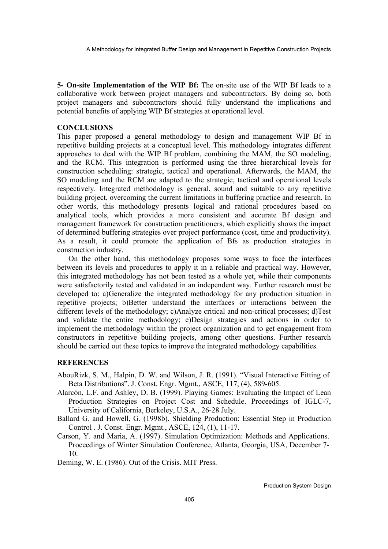A Methodology for Integrated Buffer Design and Management in Repetitive Construction Projects

**5- On-site Implementation of the WIP Bf:** The on-site use of the WIP Bf leads to a collaborative work between project managers and subcontractors. By doing so, both project managers and subcontractors should fully understand the implications and potential benefits of applying WIP Bf strategies at operational level.

## **CONCLUSIONS**

This paper proposed a general methodology to design and management WIP Bf in repetitive building projects at a conceptual level. This methodology integrates different approaches to deal with the WIP Bf problem, combining the MAM, the SO modeling, and the RCM. This integration is performed using the three hierarchical levels for construction scheduling: strategic, tactical and operational. Afterwards, the MAM, the SO modeling and the RCM are adapted to the strategic, tactical and operational levels respectively. Integrated methodology is general, sound and suitable to any repetitive building project, overcoming the current limitations in buffering practice and research. In other words, this methodology presents logical and rational procedures based on analytical tools, which provides a more consistent and accurate Bf design and management framework for construction practitioners, which explicitly shows the impact of determined buffering strategies over project performance (cost, time and productivity). As a result, it could promote the application of Bfs as production strategies in construction industry.

On the other hand, this methodology proposes some ways to face the interfaces between its levels and procedures to apply it in a reliable and practical way. However, this integrated methodology has not been tested as a whole yet, while their components were satisfactorily tested and validated in an independent way. Further research must be developed to: a)Generalize the integrated methodology for any production situation in repetitive projects; b)Better understand the interfaces or interactions between the different levels of the methodology; c)Analyze critical and non-critical processes; d)Test and validate the entire methodology; e)Design strategies and actions in order to implement the methodology within the project organization and to get engagement from constructors in repetitive building projects, among other questions. Further research should be carried out these topics to improve the integrated methodology capabilities.

## **REFERENCES**

- AbouRizk, S. M., Halpin, D. W. and Wilson, J. R. (1991). "Visual Interactive Fitting of Beta Distributions". J. Const. Engr. Mgmt., ASCE, 117, (4), 589-605.
- Alarcón, L.F. and Ashley, D. B. (1999). Playing Games: Evaluating the Impact of Lean Production Strategies on Project Cost and Schedule. Proceedings of IGLC-7, University of California, Berkeley, U.S.A., 26-28 July.
- Ballard G. and Howell, G. (1998b). Shielding Production: Essential Step in Production Control . J. Const. Engr. Mgmt., ASCE, 124, (1), 11-17.
- Carson, Y. and Maria, A. (1997). Simulation Optimization: Methods and Applications. Proceedings of Winter Simulation Conference, Atlanta, Georgia, USA, December 7- 10.

Deming, W. E. (1986). Out of the Crisis. MIT Press.